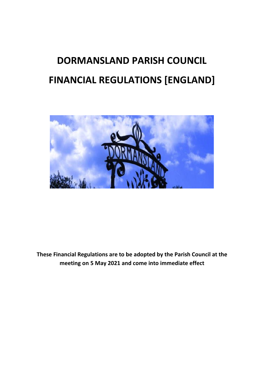# **DORMANSLAND PARISH COUNCIL FINANCIAL REGULATIONS [ENGLAND]**



**These Financial Regulations are to be adopted by the Parish Council at the meeting on 5 May 2021 and come into immediate effect**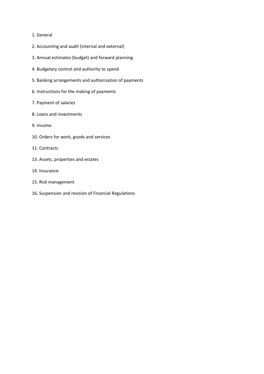#### 1. General

- 2. Accounting and audit (internal and external)
- 3. Annual estimates (budget) and forward planning
- 4. Budgetary control and authority to spend
- 5. Banking arrangements and authorisation of payments
- 6. Instructions for the making of payments
- 7. Payment of salaries
- 8. Loans and investments
- 9. Income
- 10. Orders for work, goods and services
- 11. Contracts
- 13. Assets, properties and estates
- 14. Insurance
- 15. Risk management
- 16. Suspension and revision of Financial Regulations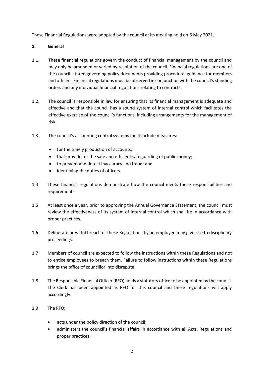These Financial Regulations were adopted by the council at its meeting held on 5 May 2021.

# **1. General**

- 1.1. These financial regulations govern the conduct of financial management by the council and may only be amended or varied by resolution of the council. Financial regulations are one of the council's three governing policy documents providing procedural guidance for members and officers. Financial regulations must be observed in conjunction with the council's standing orders and any individual financial regulations relating to contracts.
- 1.2. The council is responsible in law for ensuring that its financial management is adequate and effective and that the council has a sound system of internal control which facilitates the effective exercise of the council's functions, including arrangements for the management of risk.
- 1.3. The council's accounting control systems must include measures:
	- for the timely production of accounts;
	- that provide for the safe and efficient safeguarding of public money;
	- to prevent and detect inaccuracy and fraud; and
	- identifying the duties of officers.
- 1.4 These financial regulations demonstrate how the council meets these responsibilities and requirements.
- 1.5 At least once a year, prior to approving the Annual Governance Statement, the council must review the effectiveness of its system of internal control which shall be in accordance with proper practices.
- 1.6 Deliberate or wilful breach of these Regulations by an employee may give rise to disciplinary proceedings.
- 1.7 Members of council are expected to follow the instructions within these Regulations and not to entice employees to breach them. Failure to follow instructions within these Regulations brings the office of councillor into disrepute.
- 1.8 The Responsible Financial Officer (RFO) holds a statutory office to be appointed by the council. The Clerk has been appointed as RFO for this council and these regulations will apply accordingly.
- 1.9 The RFO;
	- acts under the policy direction of the council;
	- administers the council's financial affairs in accordance with all Acts, Regulations and proper practices;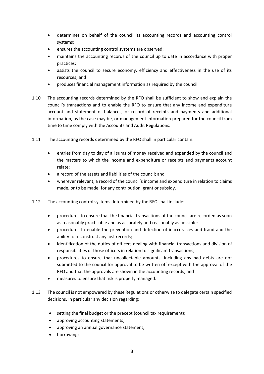- determines on behalf of the council its accounting records and accounting control systems;
- ensures the accounting control systems are observed;
- maintains the accounting records of the council up to date in accordance with proper practices;
- assists the council to secure economy, efficiency and effectiveness in the use of its resources; and
- produces financial management information as required by the council.
- 1.10 The accounting records determined by the RFO shall be sufficient to show and explain the council's transactions and to enable the RFO to ensure that any income and expenditure account and statement of balances, or record of receipts and payments and additional information, as the case may be, or management information prepared for the council from time to time comply with the Accounts and Audit Regulations.
- 1.11 The accounting records determined by the RFO shall in particular contain:
	- entries from day to day of all sums of money received and expended by the council and the matters to which the income and expenditure or receipts and payments account relate;
	- a record of the assets and liabilities of the council; and
	- wherever relevant, a record of the council's income and expenditure in relation to claims made, or to be made, for any contribution, grant or subsidy.
- 1.12 The accounting control systems determined by the RFO shall include:
	- procedures to ensure that the financial transactions of the council are recorded as soon as reasonably practicable and as accurately and reasonably as possible;
	- procedures to enable the prevention and detection of inaccuracies and fraud and the ability to reconstruct any lost records;
	- identification of the duties of officers dealing with financial transactions and division of responsibilities of those officers in relation to significant transactions;
	- procedures to ensure that uncollectable amounts, including any bad debts are not submitted to the council for approval to be written off except with the approval of the RFO and that the approvals are shown in the accounting records; and
	- measures to ensure that risk is properly managed.
- 1.13 The council is not empowered by these Regulations or otherwise to delegate certain specified decisions. In particular any decision regarding:
	- setting the final budget or the precept (council tax requirement);
	- approving accounting statements;
	- approving an annual governance statement;
	- borrowing;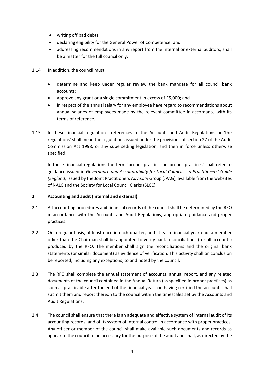- writing off bad debts;
- declaring eligibility for the General Power of Competence; and
- addressing recommendations in any report from the internal or external auditors, shall be a matter for the full council only.
- 1.14 In addition, the council must:
	- determine and keep under regular review the bank mandate for all council bank accounts;
	- approve any grant or a single commitment in excess of £5,000; and
	- in respect of the annual salary for any employee have regard to recommendations about annual salaries of employees made by the relevant committee in accordance with its terms of reference.
- 1.15 In these financial regulations, references to the Accounts and Audit Regulations or 'the regulations' shall mean the regulations issued under the provisions of section 27 of the Audit Commission Act 1998, or any superseding legislation, and then in force unless otherwise specified.

In these financial regulations the term 'proper practice' or 'proper practices' shall refer to guidance issued in *Governance and Accountability for Local Councils - a Practitioners' Guide (England)* issued by the Joint Practitioners Advisory Group (JPAG), available from the websites of NALC and the Society for Local Council Clerks (SLCC).

## **2 Accounting and audit (internal and external)**

- 2.1 All accounting procedures and financial records of the council shall be determined by the RFO in accordance with the Accounts and Audit Regulations, appropriate guidance and proper practices.
- 2.2 On a regular basis, at least once in each quarter, and at each financial year end, a member other than the Chairman shall be appointed to verify bank reconciliations (for all accounts) produced by the RFO. The member shall sign the reconciliations and the original bank statements (or similar document) as evidence of verification. This activity shall on conclusion be reported, including any exceptions, to and noted by the council.
- 2.3 The RFO shall complete the annual statement of accounts, annual report, and any related documents of the council contained in the Annual Return (as specified in proper practices) as soon as practicable after the end of the financial year and having certified the accounts shall submit them and report thereon to the council within the timescales set by the Accounts and Audit Regulations.
- 2.4 The council shall ensure that there is an adequate and effective system of internal audit of its accounting records, and of its system of internal control in accordance with proper practices. Any officer or member of the council shall make available such documents and records as appear to the council to be necessary for the purpose of the audit and shall, as directed by the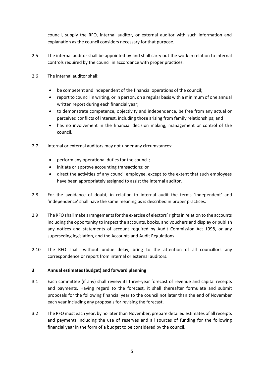council, supply the RFO, internal auditor, or external auditor with such information and explanation as the council considers necessary for that purpose.

- 2.5 The internal auditor shall be appointed by and shall carry out the work in relation to internal controls required by the council in accordance with proper practices.
- 2.6 The internal auditor shall:
	- be competent and independent of the financial operations of the council;
	- report to council in writing, or in person, on a regular basis with a minimum of one annual written report during each financial year;
	- to demonstrate competence, objectivity and independence, be free from any actual or perceived conflicts of interest, including those arising from family relationships; and
	- has no involvement in the financial decision making, management or control of the council.
- 2.7 Internal or external auditors may not under any circumstances:
	- perform any operational duties for the council;
	- initiate or approve accounting transactions; or
	- direct the activities of any council employee, except to the extent that such employees have been appropriately assigned to assist the internal auditor.
- 2.8 For the avoidance of doubt, in relation to internal audit the terms 'independent' and 'independence' shall have the same meaning as is described in proper practices.
- 2.9 The RFO shall make arrangements for the exercise of electors' rights in relation to the accounts including the opportunity to inspect the accounts, books, and vouchers and display or publish any notices and statements of account required by Audit Commission Act 1998, or any superseding legislation, and the Accounts and Audit Regulations.
- 2.10 The RFO shall, without undue delay, bring to the attention of all councillors any correspondence or report from internal or external auditors.

## **3 Annual estimates (budget) and forward planning**

- 3.1 Each committee (if any) shall review its three-year forecast of revenue and capital receipts and payments. Having regard to the forecast, it shall thereafter formulate and submit proposals for the following financial year to the council not later than the end of November each year including any proposals for revising the forecast.
- 3.2 The RFO must each year, by no later than November, prepare detailed estimates of all receipts and payments including the use of reserves and all sources of funding for the following financial year in the form of a budget to be considered by the council.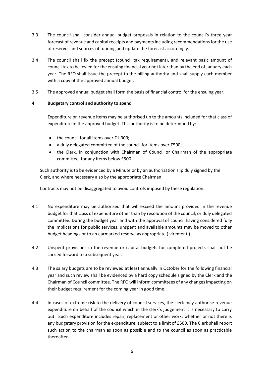- 3.3 The council shall consider annual budget proposals in relation to the council's three year forecast of revenue and capital receipts and payments including recommendations for the use of reserves and sources of funding and update the forecast accordingly.
- 3.4 The council shall fix the precept (council tax requirement), and relevant basic amount of council tax to be levied for the ensuing financial year not later than by the end of January each year. The RFO shall issue the precept to the billing authority and shall supply each member with a copy of the approved annual budget.
- 3.5 The approved annual budget shall form the basis of financial control for the ensuing year.

# **4 Budgetary control and authority to spend**

Expenditure on revenue items may be authorised up to the amounts included for that class of expenditure in the approved budget. This authority is to be determined by:

- the council for all items over £1,000;
- a duly delegated committee of the council for items over £500;
- the Clerk, in conjunction with Chairman of Council or Chairman of the appropriate committee, for any items below £500.

Such authority is to be evidenced by a Minute or by an authorisation slip duly signed by the Clerk, and where necessary also by the appropriate Chairman.

Contracts may not be disaggregated to avoid controls imposed by these regulation.

- 4.1 No expenditure may be authorised that will exceed the amount provided in the revenue budget for that class of expenditure other than by resolution of the council, or duly delegated committee. During the budget year and with the approval of council having considered fully the implications for public services, unspent and available amounts may be moved to other budget headings or to an earmarked reserve as appropriate ('virement').
- 4.2 Unspent provisions in the revenue or capital budgets for completed projects shall not be carried forward to a subsequent year.
- 4.3 The salary budgets are to be reviewed at least annually in October for the following financial year and such review shall be evidenced by a hard copy schedule signed by the Clerk and the Chairman of Council committee. The RFO will inform committees of any changes impacting on their budget requirement for the coming year in good time.
- 4.4 In cases of extreme risk to the delivery of council services, the clerk may authorise revenue expenditure on behalf of the council which in the clerk's judgement it is necessary to carry out. Such expenditure includes repair, replacement or other work, whether or not there is any budgetary provision for the expenditure, subject to a limit of £500. The Clerk shall report such action to the chairman as soon as possible and to the council as soon as practicable thereafter.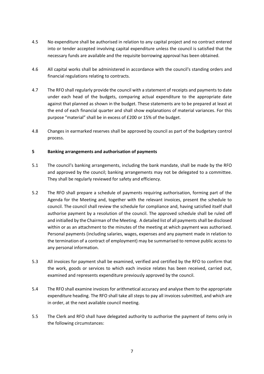- 4.5 No expenditure shall be authorised in relation to any capital project and no contract entered into or tender accepted involving capital expenditure unless the council is satisfied that the necessary funds are available and the requisite borrowing approval has been obtained.
- 4.6 All capital works shall be administered in accordance with the council's standing orders and financial regulations relating to contracts.
- 4.7 The RFO shall regularly provide the council with a statement of receipts and payments to date under each head of the budgets, comparing actual expenditure to the appropriate date against that planned as shown in the budget. These statements are to be prepared at least at the end of each financial quarter and shall show explanations of material variances. For this purpose "material" shall be in excess of £200 or 15% of the budget.
- 4.8 Changes in earmarked reserves shall be approved by council as part of the budgetary control process.

## **5 Banking arrangements and authorisation of payments**

- 5.1 The council's banking arrangements, including the bank mandate, shall be made by the RFO and approved by the council; banking arrangements may not be delegated to a committee. They shall be regularly reviewed for safety and efficiency.
- 5.2 The RFO shall prepare a schedule of payments requiring authorisation, forming part of the Agenda for the Meeting and, together with the relevant invoices, present the schedule to council. The council shall review the schedule for compliance and, having satisfied itself shall authorise payment by a resolution of the council. The approved schedule shall be ruled off and initialled by the Chairman of the Meeting. A detailed list of all payments shall be disclosed within or as an attachment to the minutes of the meeting at which payment was authorised. Personal payments (including salaries, wages, expenses and any payment made in relation to the termination of a contract of employment) may be summarised to remove public access to any personal information.
- 5.3 All invoices for payment shall be examined, verified and certified by the RFO to confirm that the work, goods or services to which each invoice relates has been received, carried out, examined and represents expenditure previously approved by the council.
- 5.4 The RFO shall examine invoices for arithmetical accuracy and analyse them to the appropriate expenditure heading. The RFO shall take all steps to pay all invoices submitted, and which are in order, at the next available council meeting.
- 5.5 The Clerk and RFO shall have delegated authority to authorise the payment of items only in the following circumstances: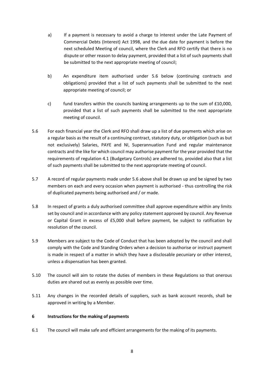- a) If a payment is necessary to avoid a charge to interest under the Late Payment of Commercial Debts (Interest) Act 1998, and the due date for payment is before the next scheduled Meeting of council, where the Clerk and RFO certify that there is no dispute or other reason to delay payment, provided that a list of such payments shall be submitted to the next appropriate meeting of council;
- b) An expenditure item authorised under 5.6 below (continuing contracts and obligations) provided that a list of such payments shall be submitted to the next appropriate meeting of council; or
- c) fund transfers within the councils banking arrangements up to the sum of  $£10,000$ , provided that a list of such payments shall be submitted to the next appropriate meeting of council.
- 5.6 For each financial year the Clerk and RFO shall draw up a list of due payments which arise on a regular basis as the result of a continuing contract, statutory duty, or obligation (such as but not exclusively) Salaries, PAYE and NI, Superannuation Fund and regular maintenance contracts and the like for which council may authorise payment for the year provided that the requirements of regulation 4.1 (Budgetary Controls) are adhered to, provided also that a list of such payments shall be submitted to the next appropriate meeting of council.
- 5.7 A record of regular payments made under 5.6 above shall be drawn up and be signed by two members on each and every occasion when payment is authorised - thus controlling the risk of duplicated payments being authorised and / or made.
- 5.8 In respect of grants a duly authorised committee shall approve expenditure within any limits set by council and in accordance with any policy statement approved by council. Any Revenue or Capital Grant in excess of £5,000 shall before payment, be subject to ratification by resolution of the council.
- 5.9 Members are subject to the Code of Conduct that has been adopted by the council and shall comply with the Code and Standing Orders when a decision to authorise or instruct payment is made in respect of a matter in which they have a disclosable pecuniary or other interest, unless a dispensation has been granted.
- 5.10 The council will aim to rotate the duties of members in these Regulations so that onerous duties are shared out as evenly as possible over time.
- 5.11 Any changes in the recorded details of suppliers, such as bank account records, shall be approved in writing by a Member.

## **6 Instructions for the making of payments**

6.1 The council will make safe and efficient arrangements for the making of its payments.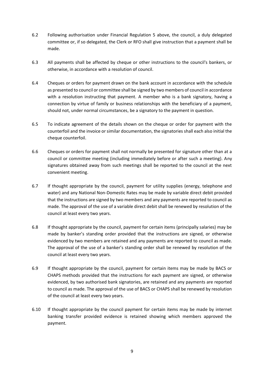- 6.2 Following authorisation under Financial Regulation 5 above, the council, a duly delegated committee or, if so delegated, the Clerk or RFO shall give instruction that a payment shall be made.
- 6.3 All payments shall be affected by cheque or other instructions to the council's bankers, or otherwise, in accordance with a resolution of council.
- 6.4 Cheques or orders for payment drawn on the bank account in accordance with the schedule as presented to council or committee shall be signed by two members of council in accordance with a resolution instructing that payment. A member who is a bank signatory, having a connection by virtue of family or business relationships with the beneficiary of a payment, should not, under normal circumstances, be a signatory to the payment in question.
- 6.5 To indicate agreement of the details shown on the cheque or order for payment with the counterfoil and the invoice or similar documentation, the signatories shall each also initial the cheque counterfoil.
- 6.6 Cheques or orders for payment shall not normally be presented for signature other than at a council or committee meeting (including immediately before or after such a meeting). Any signatures obtained away from such meetings shall be reported to the council at the next convenient meeting.
- 6.7 If thought appropriate by the council, payment for utility supplies (energy, telephone and water) and any National Non-Domestic Rates may be made by variable direct debit provided that the instructions are signed by two members and any payments are reported to council as made. The approval of the use of a variable direct debit shall be renewed by resolution of the council at least every two years.
- 6.8 If thought appropriate by the council, payment for certain items (principally salaries) may be made by banker's standing order provided that the instructions are signed, or otherwise evidenced by two members are retained and any payments are reported to council as made. The approval of the use of a banker's standing order shall be renewed by resolution of the council at least every two years.
- 6.9 If thought appropriate by the council, payment for certain items may be made by BACS or CHAPS methods provided that the instructions for each payment are signed, or otherwise evidenced, by two authorised bank signatories, are retained and any payments are reported to council as made. The approval of the use of BACS or CHAPS shall be renewed by resolution of the council at least every two years.
- 6.10 If thought appropriate by the council payment for certain items may be made by internet banking transfer provided evidence is retained showing which members approved the payment.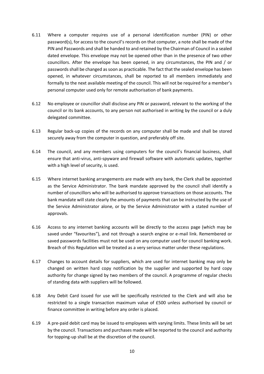- 6.11 Where a computer requires use of a personal identification number (PIN) or other password(s), for access to the council's records on that computer, a note shall be made of the PIN and Passwords and shall be handed to and retained by the Chairman of Council in a sealed dated envelope. This envelope may not be opened other than in the presence of two other councillors. After the envelope has been opened, in any circumstances, the PIN and / or passwords shall be changed as soon as practicable. The fact that the sealed envelope has been opened, in whatever circumstances, shall be reported to all members immediately and formally to the next available meeting of the council. This will not be required for a member's personal computer used only for remote authorisation of bank payments.
- 6.12 No employee or councillor shall disclose any PIN or password, relevant to the working of the council or its bank accounts, to any person not authorised in writing by the council or a duly delegated committee.
- 6.13 Regular back-up copies of the records on any computer shall be made and shall be stored securely away from the computer in question, and preferably off site.
- 6.14 The council, and any members using computers for the council's financial business, shall ensure that anti-virus, anti-spyware and firewall software with automatic updates, together with a high level of security, is used.
- 6.15 Where internet banking arrangements are made with any bank, the Clerk shall be appointed as the Service Administrator. The bank mandate approved by the council shall identify a number of councillors who will be authorised to approve transactions on those accounts. The bank mandate will state clearly the amounts of payments that can be instructed by the use of the Service Administrator alone, or by the Service Administrator with a stated number of approvals.
- 6.16 Access to any internet banking accounts will be directly to the access page (which may be saved under "favourites"), and not through a search engine or e-mail link. Remembered or saved passwords facilities must not be used on any computer used for council banking work. Breach of this Regulation will be treated as a very serious matter under these regulations.
- 6.17 Changes to account details for suppliers, which are used for internet banking may only be changed on written hard copy notification by the supplier and supported by hard copy authority for change signed by two members of the council. A programme of regular checks of standing data with suppliers will be followed.
- 6.18 Any Debit Card issued for use will be specifically restricted to the Clerk and will also be restricted to a single transaction maximum value of £500 unless authorised by council or finance committee in writing before any order is placed.
- 6.19 A pre-paid debit card may be issued to employees with varying limits. These limits will be set by the council. Transactions and purchases made will be reported to the council and authority for topping-up shall be at the discretion of the council.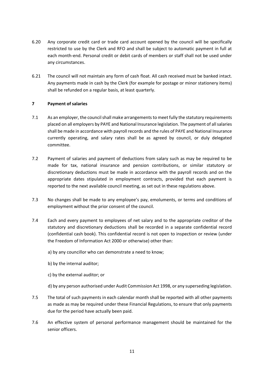- 6.20 Any corporate credit card or trade card account opened by the council will be specifically restricted to use by the Clerk and RFO and shall be subject to automatic payment in full at each month-end. Personal credit or debit cards of members or staff shall not be used under any circumstances.
- 6.21 The council will not maintain any form of cash float. All cash received must be banked intact. Any payments made in cash by the Clerk (for example for postage or minor stationery items) shall be refunded on a regular basis, at least quarterly.

## **7 Payment of salaries**

- 7.1 As an employer, the council shall make arrangements to meet fully the statutory requirements placed on all employers by PAYE and National Insurance legislation. The payment of all salaries shall be made in accordance with payroll records and the rules of PAYE and National Insurance currently operating, and salary rates shall be as agreed by council, or duly delegated committee.
- 7.2 Payment of salaries and payment of deductions from salary such as may be required to be made for tax, national insurance and pension contributions, or similar statutory or discretionary deductions must be made in accordance with the payroll records and on the appropriate dates stipulated in employment contracts, provided that each payment is reported to the next available council meeting, as set out in these regulations above.
- 7.3 No changes shall be made to any employee's pay, emoluments, or terms and conditions of employment without the prior consent of the council.
- 7.4 Each and every payment to employees of net salary and to the appropriate creditor of the statutory and discretionary deductions shall be recorded in a separate confidential record (confidential cash book). This confidential record is not open to inspection or review (under the Freedom of Information Act 2000 or otherwise) other than:
	- a) by any councillor who can demonstrate a need to know;
	- b) by the internal auditor;
	- c) by the external auditor; or
	- d) by any person authorised under Audit Commission Act 1998, or any superseding legislation.
- 7.5 The total of such payments in each calendar month shall be reported with all other payments as made as may be required under these Financial Regulations, to ensure that only payments due for the period have actually been paid.
- 7.6 An effective system of personal performance management should be maintained for the senior officers.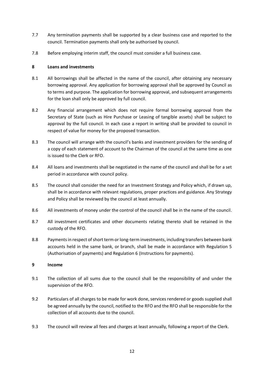- 7.7 Any termination payments shall be supported by a clear business case and reported to the council. Termination payments shall only be authorised by council.
- 7.8 Before employing interim staff, the council must consider a full business case.

## **8 Loans and investments**

- 8.1 All borrowings shall be affected in the name of the council, after obtaining any necessary borrowing approval. Any application for borrowing approval shall be approved by Council as to terms and purpose. The application for borrowing approval, and subsequent arrangements for the loan shall only be approved by full council.
- 8.2 Any financial arrangement which does not require formal borrowing approval from the Secretary of State (such as Hire Purchase or Leasing of tangible assets) shall be subject to approval by the full council. In each case a report in writing shall be provided to council in respect of value for money for the proposed transaction.
- 8.3 The council will arrange with the council's banks and investment providers for the sending of a copy of each statement of account to the Chairman of the council at the same time as one is issued to the Clerk or RFO.
- 8.4 All loans and investments shall be negotiated in the name of the council and shall be for a set period in accordance with council policy.
- 8.5 The council shall consider the need for an Investment Strategy and Policy which, if drawn up, shall be in accordance with relevant regulations, proper practices and guidance. Any Strategy and Policy shall be reviewed by the council at least annually.
- 8.6 All investments of money under the control of the council shall be in the name of the council.
- 8.7 All investment certificates and other documents relating thereto shall be retained in the custody of the RFO.
- 8.8 Payments in respect of short term or long-term investments, including transfers between bank accounts held in the same bank, or branch, shall be made in accordance with Regulation 5 (Authorisation of payments) and Regulation 6 (Instructions for payments).

## **9 Income**

- 9.1 The collection of all sums due to the council shall be the responsibility of and under the supervision of the RFO.
- 9.2 Particulars of all charges to be made for work done, services rendered or goods supplied shall be agreed annually by the council, notified to the RFO and the RFO shall be responsible for the collection of all accounts due to the council.
- 9.3 The council will review all fees and charges at least annually, following a report of the Clerk.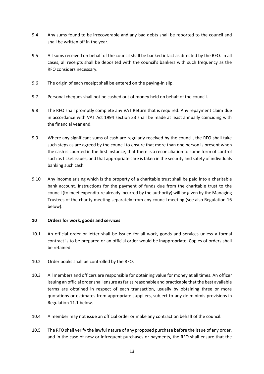- 9.4 Any sums found to be irrecoverable and any bad debts shall be reported to the council and shall be written off in the year.
- 9.5 All sums received on behalf of the council shall be banked intact as directed by the RFO. In all cases, all receipts shall be deposited with the council's bankers with such frequency as the RFO considers necessary.
- 9.6 The origin of each receipt shall be entered on the paying-in slip.
- 9.7 Personal cheques shall not be cashed out of money held on behalf of the council.
- 9.8 The RFO shall promptly complete any VAT Return that is required. Any repayment claim due in accordance with VAT Act 1994 section 33 shall be made at least annually coinciding with the financial year end.
- 9.9 Where any significant sums of cash are regularly received by the council, the RFO shall take such steps as are agreed by the council to ensure that more than one person is present when the cash is counted in the first instance, that there is a reconciliation to some form of control such as ticket issues, and that appropriate care is taken in the security and safety of individuals banking such cash.
- 9.10 Any income arising which is the property of a charitable trust shall be paid into a charitable bank account. Instructions for the payment of funds due from the charitable trust to the council (to meet expenditure already incurred by the authority) will be given by the Managing Trustees of the charity meeting separately from any council meeting (see also Regulation 16 below).

#### **10 Orders for work, goods and services**

- 10.1 An official order or letter shall be issued for all work, goods and services unless a formal contract is to be prepared or an official order would be inappropriate. Copies of orders shall be retained.
- 10.2 Order books shall be controlled by the RFO.
- 10.3 All members and officers are responsible for obtaining value for money at all times. An officer issuing an official order shall ensure as far as reasonable and practicable that the best available terms are obtained in respect of each transaction, usually by obtaining three or more quotations or estimates from appropriate suppliers, subject to any de minimis provisions in Regulation 11.1 below.
- 10.4 A member may not issue an official order or make any contract on behalf of the council.
- 10.5 The RFO shall verify the lawful nature of any proposed purchase before the issue of any order, and in the case of new or infrequent purchases or payments, the RFO shall ensure that the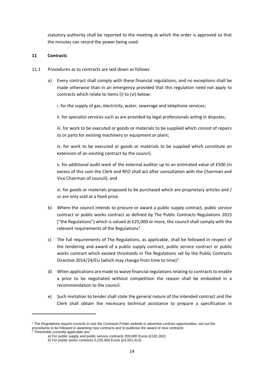statutory authority shall be reported to the meeting at which the order is approved so that the minutes can record the power being used.

## **11 Contracts**

- 11.1 Procedures as to contracts are laid down as follows:
	- a) Every contract shall comply with these financial regulations, and no exceptions shall be made otherwise than in an emergency provided that this regulation need not apply to contracts which relate to items (i) to (vi) below:

i. for the supply of gas, electricity, water, sewerage and telephone services;

ii. for specialist services such as are provided by legal professionals acting in disputes;

iii. for work to be executed or goods or materials to be supplied which consist of repairs to or parts for existing machinery or equipment or plant;

iv. for work to be executed or goods or materials to be supplied which constitute an extension of an existing contract by the council;

v. for additional audit work of the external auditor up to an estimated value of £500 (in excess of this sum the Clerk and RFO shall act after consultation with the Chairman and Vice Chairman of council); and

vi. for goods or materials proposed to be purchased which are proprietary articles and / or are only sold at a fixed price.

- b) Where the council intends to procure or award a public supply contract, public service contract or public works contract as defined by The Public Contracts Regulations 2015 ("the Regulations") which is valued at £25,000 or more, the council shall comply with the relevant requirements of the Regulations<sup>1</sup>.
- c) The full requirements of The Regulations, as applicable, shall be followed in respect of the tendering and award of a public supply contract, public service contract or public works contract which exceed thresholds in The Regulations set by the Public Contracts Directive 2014/24/EU (which may change from time to time)<sup>2</sup>.
- d) When applications are made to waive financial regulations relating to contracts to enable a price to be negotiated without competition the reason shall be embodied in a recommendation to the council.
- e) Such invitation to tender shall state the general nature of the intended contract and the Clerk shall obtain the necessary technical assistance to prepare a specification in

<sup>&</sup>lt;sup>1</sup> The Regulations require councils to use the Contracts Finder website to advertise contract opportunities, set out the procedures to be followed in awarding new contracts and to publicise the award of new contracts a Thresholds outcomby continued in awarding new contracts and to publicise the award of new contracts and to public served in

 $2$  Thresholds currently applicable are:

a) For public supply and public service contracts 209,000 Euros (£181,302)

b) For public works contracts 5,225,000 Euros (£4,551,413)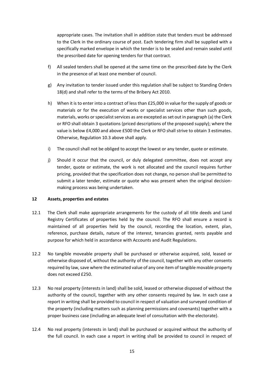appropriate cases. The invitation shall in addition state that tenders must be addressed to the Clerk in the ordinary course of post. Each tendering firm shall be supplied with a specifically marked envelope in which the tender is to be sealed and remain sealed until the prescribed date for opening tenders for that contract.

- f) All sealed tenders shall be opened at the same time on the prescribed date by the Clerk in the presence of at least one member of council.
- g) Any invitation to tender issued under this regulation shall be subject to Standing Orders 18(d) and shall refer to the terms of the Bribery Act 2010.
- h) When it is to enter into a contract of less than £25,000 in value for the supply of goods or materials or for the execution of works or specialist services other than such goods, materials, works or specialist services as are excepted as set out in paragraph (a) the Clerk or RFO shall obtain 3 quotations (priced descriptions of the proposed supply); where the value is below £4,000 and above £500 the Clerk or RFO shall strive to obtain 3 estimates. Otherwise, Regulation 10.3 above shall apply.
- i) The council shall not be obliged to accept the lowest or any tender, quote or estimate.
- j) Should it occur that the council, or duly delegated committee, does not accept any tender, quote or estimate, the work is not allocated and the council requires further pricing, provided that the specification does not change, no person shall be permitted to submit a later tender, estimate or quote who was present when the original decisionmaking process was being undertaken.

#### **12 Assets, properties and estates**

- 12.1 The Clerk shall make appropriate arrangements for the custody of all title deeds and Land Registry Certificates of properties held by the council. The RFO shall ensure a record is maintained of all properties held by the council, recording the location, extent, plan, reference, purchase details, nature of the interest, tenancies granted, rents payable and purpose for which held in accordance with Accounts and Audit Regulations.
- 12.2 No tangible moveable property shall be purchased or otherwise acquired, sold, leased or otherwise disposed of, without the authority of the council, together with any other consents required by law, save where the estimated value of any one item of tangible movable property does not exceed £250.
- 12.3 No real property (interests in land) shall be sold, leased or otherwise disposed of without the authority of the council, together with any other consents required by law. In each case a report in writing shall be provided to council in respect of valuation and surveyed condition of the property (including matters such as planning permissions and covenants) together with a proper business case (including an adequate level of consultation with the electorate).
- 12.4 No real property (interests in land) shall be purchased or acquired without the authority of the full council. In each case a report in writing shall be provided to council in respect of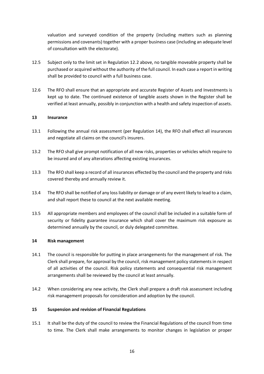valuation and surveyed condition of the property (including matters such as planning permissions and covenants) together with a proper business case (including an adequate level of consultation with the electorate).

- 12.5 Subject only to the limit set in Regulation 12.2 above, no tangible moveable property shall be purchased or acquired without the authority of the full council. In each case a report in writing shall be provided to council with a full business case.
- 12.6 The RFO shall ensure that an appropriate and accurate Register of Assets and Investments is kept up to date. The continued existence of tangible assets shown in the Register shall be verified at least annually, possibly in conjunction with a health and safety inspection of assets.

#### **13 Insurance**

- 13.1 Following the annual risk assessment (per Regulation 14), the RFO shall effect all insurances and negotiate all claims on the council's insurers.
- 13.2 The RFO shall give prompt notification of all new risks, properties or vehicles which require to be insured and of any alterations affecting existing insurances.
- 13.3 The RFO shall keep a record of all insurances effected by the council and the property and risks covered thereby and annually review it.
- 13.4 The RFO shall be notified of any loss liability or damage or of any event likely to lead to a claim, and shall report these to council at the next available meeting.
- 13.5 All appropriate members and employees of the council shall be included in a suitable form of security or fidelity guarantee insurance which shall cover the maximum risk exposure as determined annually by the council, or duly delegated committee.

#### **14 Risk management**

- 14.1 The council is responsible for putting in place arrangements for the management of risk. The Clerk shall prepare, for approval by the council, risk management policy statements in respect of all activities of the council. Risk policy statements and consequential risk management arrangements shall be reviewed by the council at least annually.
- 14.2 When considering any new activity, the Clerk shall prepare a draft risk assessment including risk management proposals for consideration and adoption by the council.

#### **15 Suspension and revision of Financial Regulations**

15.1 It shall be the duty of the council to review the Financial Regulations of the council from time to time. The Clerk shall make arrangements to monitor changes in legislation or proper